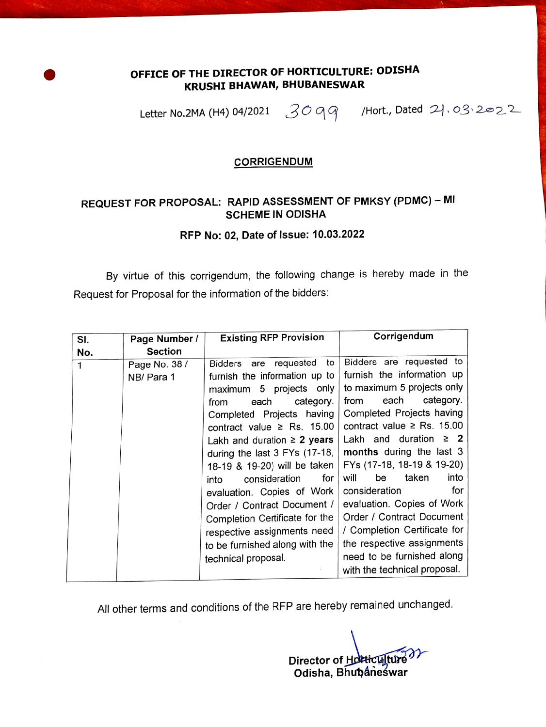## OFFICE OF THE DIRECTOR OF HORTIcULTURE: ODISHA KRUSHI BHAWAN, BHUBANESWAR

Letter No.2MA (H4) 04/2021  $309$  /Hort., Dated  $21.03222$ 

#### CORRIGENDUM

### REQUEST FOR PROPOSAL: RAPID ASSESSMENT OF PMKSY (PDMC) - MI SCHEME IN ODISHA

### RFP No: 02, Date of Issue: 10.03.2022

By virtue of this corrigendum, the following change is hereby made in the Request for Proposal for the information of the bidders:

| SI. | Page Number /               | <b>Existing RFP Provision</b>                                                                                                                                                                                                                                                                                                                                                                                                                                                                                   | Corrigendum                                                                                                                                                                                                                                                                                                                                                                                                                                                                                                               |
|-----|-----------------------------|-----------------------------------------------------------------------------------------------------------------------------------------------------------------------------------------------------------------------------------------------------------------------------------------------------------------------------------------------------------------------------------------------------------------------------------------------------------------------------------------------------------------|---------------------------------------------------------------------------------------------------------------------------------------------------------------------------------------------------------------------------------------------------------------------------------------------------------------------------------------------------------------------------------------------------------------------------------------------------------------------------------------------------------------------------|
| No. | <b>Section</b>              |                                                                                                                                                                                                                                                                                                                                                                                                                                                                                                                 |                                                                                                                                                                                                                                                                                                                                                                                                                                                                                                                           |
| 1   | Page No. 38 /<br>NB/ Para 1 | to<br>Bidders are requested<br>furnish the information up to<br>maximum 5 projects only<br>category.<br>each<br>from<br>Completed Projects having<br>contract value $\ge$ Rs. 15.00<br>Lakh and duration $\geq$ 2 years<br>during the last 3 FYs (17-18,<br>18-19 & 19-20) will be taken<br>for<br>consideration<br>into<br>evaluation. Copies of Work<br>Order / Contract Document /<br>Completion Certificate for the<br>respective assignments need<br>to be furnished along with the<br>technical proposal. | Bidders are requested to<br>furnish the information up<br>to maximum 5 projects only<br>category.<br>each<br>from<br>Completed Projects having<br>contract value $\ge$ Rs. 15.00<br>Lakh and duration<br>$\geq 2$<br>months during the last 3<br>FYs (17-18, 18-19 & 19-20)<br>taken<br>into<br>will<br>be<br>for<br>consideration<br>evaluation. Copies of Work<br>Order / Contract Document<br>/ Completion Certificate for<br>the respective assignments<br>need to be furnished along<br>with the technical proposal. |

All other terms and conditions of the RFP are hereby remained unchanged.

Director of Hotticulture Odisha, Bhubaneswar